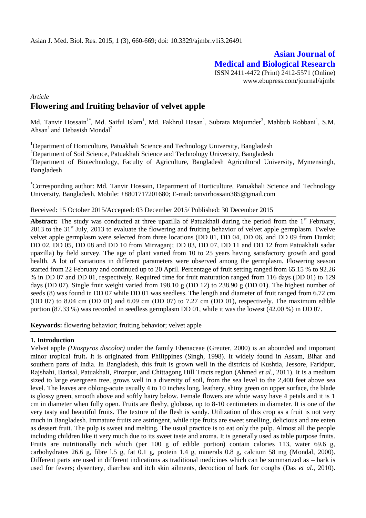# **Asian Journal of Medical and Biological Research**

ISSN 2411-4472 (Print) 2412-5571 (Online) www.ebupress.com/journal/ajmbr

# *Article* **Flowering and fruiting behavior of velvet apple**

Md. Tanvir Hossain<sup>1\*</sup>, Md. Saiful Islam<sup>1</sup>, Md. Fakhrul Hasan<sup>1</sup>, Subrata Mojumder<sup>3</sup>, Mahbub Robbani<sup>1</sup>, S.M. Ahsan<sup>1</sup> and Debasish Mondal<sup>2</sup>

<sup>1</sup>Department of Horticulture, Patuakhali Science and Technology University, Bangladesh <sup>2</sup>Department of Soil Science, Patuakhali Science and Technology University, Bangladesh <sup>3</sup>Department of Biotechnology, Faculty of Agriculture, Bangladesh Agricultural University, Mymensingh, Bangladesh

\*Corresponding author: Md. Tanvir Hossain, Department of Horticulture, Patuakhali Science and Technology University, Bangladesh. Mobile: +8801717201680; E-mail: tanvirhossain385@gmail.com

### Received: 15 October 2015/Accepted: 03 December 2015/ Published: 30 December 2015

**Abstract:** The study was conducted at three upazilla of Patuakhali during the period from the 1<sup>st</sup> February,  $2013$  to the  $31<sup>st</sup>$  July, 2013 to evaluate the flowering and fruiting behavior of velvet apple germplasm. Twelve velvet apple germplasm were selected from three locations (DD 01, DD 04, DD 06, and DD 09 from Dumki; DD 02, DD 05, DD 08 and DD 10 from Mirzaganj; DD 03, DD 07, DD 11 and DD 12 from Patuakhali sadar upazilla) by field survey. The age of plant varied from 10 to 25 years having satisfactory growth and good health. A lot of variations in different parameters were observed among the germplasm. Flowering season started from 22 February and continued up to 20 April. Percentage of fruit setting ranged from 65.15 % to 92.26 % in DD 07 and DD 01, respectively. Required time for fruit maturation ranged from 116 days (DD 01) to 129 days (DD 07). Single fruit weight varied from 198.10 g (DD 12) to 238.90 g (DD 01). The highest number of seeds (8) was found in DD 07 while DD 01 was seedless. The length and diameter of fruit ranged from 6.72 cm (DD 07) to 8.04 cm (DD 01) and 6.09 cm (DD 07) to 7.27 cm (DD 01), respectively. The maximum edible portion (87.33 %) was recorded in seedless germplasm DD 01, while it was the lowest (42.00 %) in DD 07.

**Keywords:** flowering behavior; fruiting behavior; velvet apple

### **1. Introduction**

Velvet apple *(Diospyros discolor)* under the family Ebenaceae (Greuter, 2000) is an abounded and important minor tropical fruit**.** It is originated from Philippines (Singh, 1998). It widely found in Assam, Bihar and southern parts of India. In Bangladesh, this fruit is grown well in the districts of Kushtia, Jessore, Faridpur, Rajshahi, Barisal, Patuakhali, Pirozpur, and Chittagong Hill Tracts region (Ahmed *et al*., 2011). It is a medium sized to large evergreen tree, grows well in a diversity of soil, from the sea level to the 2,400 feet above sea level. The leaves are oblong-acute usually 4 to 10 inches long, leathery, shiny green on upper surface, the blade is glossy green, smooth above and softly hairy below. Female flowers are white waxy have 4 petals and it is 1 cm in diameter when fully open. Fruits are fleshy, globose, up to 8-10 centimeters in diameter. It is one of the very tasty and beautiful fruits. The texture of the flesh is sandy. Utilization of this crop as a fruit is not very much in Bangladesh. Immature fruits are astringent, while ripe fruits are sweet smelling, delicious and are eaten as dessert fruit. The pulp is sweet and melting. The usual practice is to eat only the pulp. Almost all the people including children like it very much due to its sweet taste and aroma. It is generally used as table purpose fruits. Fruits are nutritionally rich which (per 100 g of edible portion) contain calories 113, water 69.6 g, carbohydrates 26.6 g, fibre l.5 g, fat 0.1 g, protein 1.4 g, minerals 0.8 g, calcium 58 mg (Mondal, 2000). Different parts are used in different indications as traditional medicines which can be summarized as – bark is used for fevers; dysentery, diarrhea and itch skin ailments, decoction of bark for coughs (Das *et al*., 2010).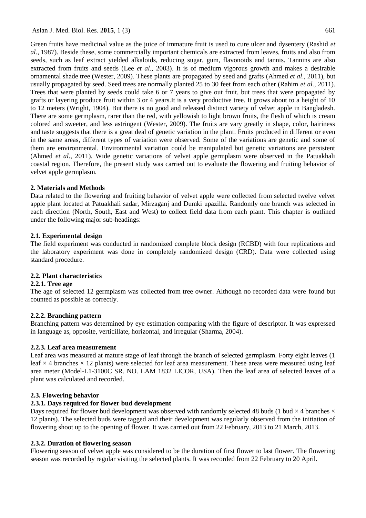Green fruits have medicinal value as the juice of immature fruit is used to cure ulcer and dysentery (Rashid *et al.,* 1987). Beside these, some commercially important chemicals are extracted from leaves, fruits and also from seeds, such as leaf extract yielded alkaloids, reducing sugar, gum, flavonoids and tannis. Tannins are also extracted from fruits and seeds (Lee *et al.,* 2003). It is of medium vigorous growth and makes a desirable ornamental shade tree (Wester, 2009). These plants are propagated by seed and grafts (Ahmed *et al*., 2011), but usually propagated by seed. Seed trees are normally planted 25 to 30 feet from each other (Rahim *et al.,* 2011). Trees that were planted by seeds could take 6 or 7 years to give out fruit, but trees that were propagated by grafts or layering produce fruit within 3 or 4 years.It is a very productive tree. It grows about to a height of 10 to 12 meters (Wright, 1904). But there is no good and released distinct variety of velvet apple in Bangladesh. There are some germplasm, rarer than the red, with yellowish to light brown fruits, the flesh of which is cream colored and sweeter, and less astringent (Wester, 2009). The fruits are vary greatly in shape, color, hairiness and taste suggests that there is a great deal of genetic variation in the plant. Fruits produced in different or even in the same areas, different types of variation were observed. Some of the variations are genetic and some of them are environmental. Environmental variation could be manipulated but genetic variations are persistent (Ahmed *et al*., 2011). Wide genetic variations of velvet apple germplasm were observed in the Patuakhali coastal region. Therefore, the present study was carried out to evaluate the flowering and fruiting behavior of velvet apple germplasm.

#### **2. Materials and Methods**

Data related to the flowering and fruiting behavior of velvet apple were collected from selected twelve velvet apple plant located at Patuakhali sadar, Mirzaganj and Dumki upazilla. Randomly one branch was selected in each direction (North, South, East and West) to collect field data from each plant. This chapter is outlined under the following major sub-headings:

#### **2.1. Experimental design**

The field experiment was conducted in randomized complete block design (RCBD) with four replications and the laboratory experiment was done in completely randomized design (CRD). Data were collected using standard procedure.

### **2.2. Plant characteristics**

### **2.2.1. Tree age**

The age of selected 12 germplasm was collected from tree owner. Although no recorded data were found but counted as possible as correctly.

### **2.2.2. Branching pattern**

Branching pattern was determined by eye estimation comparing with the figure of descriptor. It was expressed in language as, opposite, verticillate, horizontal, and irregular (Sharma, 2004).

#### **2.2.3. Leaf area measurement**

Leaf area was measured at mature stage of leaf through the branch of selected germplasm. Forty eight leaves (1 leaf  $\times$  4 branches  $\times$  12 plants) were selected for leaf area measurement. These areas were measured using leaf area meter (Model-L1-3100C SR. NO. LAM 1832 LICOR, USA). Then the leaf area of selected leaves of a plant was calculated and recorded.

#### **2.3. Flowering behavior**

### **2.3.1. Days required for flower bud development**

Days required for flower bud development was observed with randomly selected 48 buds (1 bud  $\times$  4 branches  $\times$ 12 plants). The selected buds were tagged and their development was regularly observed from the initiation of flowering shoot up to the opening of flower. It was carried out from 22 February, 2013 to 21 March, 2013.

#### **2.3.2. Duration of flowering season**

Flowering season of velvet apple was considered to be the duration of first flower to last flower. The flowering season was recorded by regular visiting the selected plants. It was recorded from 22 February to 20 April.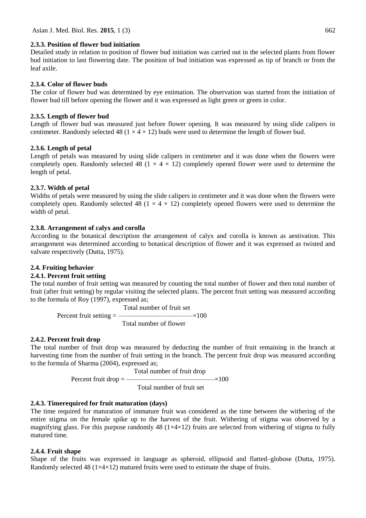#### **2.3.3. Position of flower bud initiation**

Detailed study in relation to position of flower bud initiation was carried out in the selected plants from flower bud initiation to last flowering date. The position of bud initiation was expressed as tip of branch or from the leaf axile.

#### **2.3.4. Color of flower buds**

The color of flower bud was determined by eye estimation. The observation was started from the initiation of flower bud till before opening the flower and it was expressed as light green or green in color.

#### **2.3.5. Length of flower bud**

Length of flower bud was measured just before flower opening. It was measured by using slide calipers in centimeter. Randomly selected 48 ( $1 \times 4 \times 12$ ) buds were used to determine the length of flower bud.

#### **2.3.6. Length of petal**

Length of petals was measured by using slide calipers in centimeter and it was done when the flowers were completely open. Randomly selected 48 ( $1 \times 4 \times 12$ ) completely opened flower were used to determine the length of petal.

#### **2.3.7. Width of petal**

Widths of petals were measured by using the slide calipers in centimeter and it was done when the flowers were completely open. Randomly selected 48 ( $1 \times 4 \times 12$ ) completely opened flowers were used to determine the width of petal.

#### **2.3.8. Arrangement of calyx and corolla**

According to the botanical description the arrangement of calyx and corolla is known as aestivation. This arrangement was determined according to botanical description of flower and it was expressed as twisted and valvate respectively (Dutta, 1975).

#### **2.4. Fruiting behavior**

#### **2.4.1. Percent fruit setting**

The total number of fruit setting was measured by counting the total number of flower and then total number of fruit (after fruit setting) by regular visiting the selected plants. The percent fruit setting was measured according to the formula of Roy (1997), expressed as;

 Total number of fruit set Percent fruit setting  $=\frac{2000 \times 1000}{6000 \times 1000}$ Total number of flower

#### **2.4.2. Percent fruit drop**

The total number of fruit drop was measured by deducting the number of fruit remaining in the branch at harvesting time from the number of fruit setting in the branch. The percent fruit drop was measured according to the formula of Sharma (2004), expressed as;

$$
Percent fruit drop = \frac{Total number of fruit drop}{Total number of fruit set} \times 100
$$

Total number of fruit set

#### **2.4.3. Timerequired for fruit maturation (days)**

The time required for maturation of immature fruit was considered as the time between the withering of the entire stigma on the female spike up to the harvest of the fruit. Withering of stigma was observed by a magnifying glass. For this purpose randomly 48 ( $1\times4\times12$ ) fruits are selected from withering of stigma to fully matured time.

#### **2.4.4. Fruit shape**

Shape of the fruits was expressed in language as spheroid, ellipsoid and flatted–globose (Dutta, 1975). Randomly selected 48 ( $1 \times 4 \times 12$ ) matured fruits were used to estimate the shape of fruits.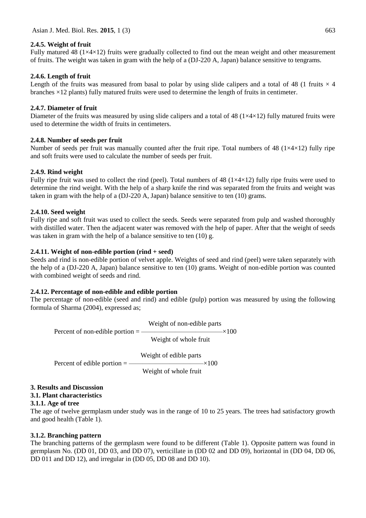### **2.4.5. Weight of fruit**

Fully matured 48 ( $1\times4\times12$ ) fruits were gradually collected to find out the mean weight and other measurement of fruits. The weight was taken in gram with the help of a (DJ-220 A, Japan) balance sensitive to tengrams.

# **2.4.6. Length of fruit**

Length of the fruits was measured from basal to polar by using slide calipers and a total of 48 (1 fruits  $\times$  4 branches ×12 plants) fully matured fruits were used to determine the length of fruits in centimeter.

# **2.4.7. Diameter of fruit**

Diameter of the fruits was measured by using slide calipers and a total of 48 ( $1\times4\times12$ ) fully matured fruits were used to determine the width of fruits in centimeters.

# **2.4.8. Number of seeds per fruit**

Number of seeds per fruit was manually counted after the fruit ripe. Total numbers of 48 ( $1 \times 4 \times 12$ ) fully ripe and soft fruits were used to calculate the number of seeds per fruit.

### **2.4.9. Rind weight**

Fully ripe fruit was used to collect the rind (peel). Total numbers of 48 (1×4×12) fully ripe fruits were used to determine the rind weight. With the help of a sharp knife the rind was separated from the fruits and weight was taken in gram with the help of a (DJ-220 A, Japan) balance sensitive to ten (10) grams.

# **2.4.10. Seed weight**

Fully ripe and soft fruit was used to collect the seeds. Seeds were separated from pulp and washed thoroughly with distilled water. Then the adjacent water was removed with the help of paper. After that the weight of seeds was taken in gram with the help of a balance sensitive to ten (10) g.

# **2.4.11. Weight of non-edible portion (rind + seed)**

Seeds and rind is non-edible portion of velvet apple. Weights of seed and rind (peel) were taken separately with the help of a (DJ-220 A, Japan) balance sensitive to ten (10) grams. Weight of non-edible portion was counted with combined weight of seeds and rind.

# **2.4.12. Percentage of non-edible and edible portion**

The percentage of non-edible (seed and rind) and edible (pulp) portion was measured by using the following formula of Sharma (2004), expressed as;

 Weight of non-edible parts Percent of non-edible portion  $=$  —————————————— $\times 100$  Weight of whole fruit Weight of edible parts Percent of edible portion  $=$  ———————————— $\times 100$ Weight of whole fruit

# **3. Results and Discussion**

# **3.1. Plant characteristics**

### **3.1.1. Age of tree**

The age of twelve germplasm under study was in the range of 10 to 25 years. The trees had satisfactory growth and good health (Table 1).

# **3.1.2. Branching pattern**

The branching patterns of the germplasm were found to be different (Table 1). Opposite pattern was found in germplasm No. (DD 01, DD 03, and DD 07), verticillate in (DD 02 and DD 09), horizontal in (DD 04, DD 06, DD 011 and DD 12), and irregular in (DD 05, DD 08 and DD 10).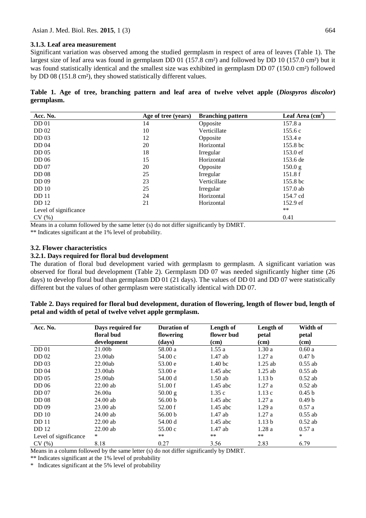#### **3.1.3. Leaf area measurement**

Significant variation was observed among the studied germplasm in respect of area of leaves (Table 1). The largest size of leaf area was found in germplasm DD 01 (157.8 cm²) and followed by DD 10 (157.0 cm²) but it was found statistically identical and the smallest size was exhibited in germplasm DD 07 (150.0 cm²) followed by DD 08 (151.8 cm²), they showed statistically different values.

|            |  |  | Table 1. Age of tree, branching pattern and leaf area of twelve velvet apple (Diospyros discolor) |  |  |  |  |  |
|------------|--|--|---------------------------------------------------------------------------------------------------|--|--|--|--|--|
| germplasm. |  |  |                                                                                                   |  |  |  |  |  |

| Acc. No.              | Age of tree (years) | <b>Branching pattern</b> | Leaf Area $\overline{(cm^2)}$ |
|-----------------------|---------------------|--------------------------|-------------------------------|
| DD <sub>01</sub>      | 14                  | Opposite                 | 157.8 a                       |
| DD 02                 | 10                  | Verticillate             | 155.6c                        |
| DD <sub>03</sub>      | 12                  | Opposite                 | 153.4 e                       |
| <b>DD</b> 04          | 20                  | Horizontal               | 155.8 bc                      |
| DD <sub>05</sub>      | 18                  | Irregular                | 153.0 ef                      |
| DD 06                 | 15                  | Horizontal               | 153.6 de                      |
| DD <sub>07</sub>      | 20                  | Opposite                 | 150.0 g                       |
| <b>DD</b> 08          | 25                  | Irregular                | 151.8f                        |
| DD 09                 | 23                  | Verticillate             | 155.8 bc                      |
| DD <sub>10</sub>      | 25                  | Irregular                | 157.0 ab                      |
| <b>DD</b> 11          | 24                  | Horizontal               | 154.7 cd                      |
| <b>DD</b> 12          | 21                  | Horizontal               | 152.9 ef                      |
| Level of significance |                     |                          | $***$                         |
| CV(%)                 |                     |                          | 0.41                          |

Means in a column followed by the same letter (s) do not differ significantly by DMRT.

\*\* Indicates significant at the 1% level of probability.

#### **3.2. Flower characteristics**

#### **3.2.1. Days required for floral bud development**

The duration of floral bud development varied with germplasm to germplasm. A significant variation was observed for floral bud development (Table 2). Germplasm DD 07 was needed significantly higher time (26 days) to develop floral bud than germplasm DD 01 (21 days). The values of DD 01 and DD 07 were statistically different but the values of other germplasm were statistically identical with DD 07.

| Table 2. Days required for floral bud development, duration of flowering, length of flower bud, length of |  |
|-----------------------------------------------------------------------------------------------------------|--|
| petal and width of petal of twelve velvet apple germplasm.                                                |  |

| Acc. No.              | Days required for<br>floral bud<br>development | <b>Duration of</b><br>flowering<br>(days) | Length of<br>flower bud<br>(cm) | Length of<br>petal<br>(cm) | Width of<br>petal<br>(cm) |
|-----------------------|------------------------------------------------|-------------------------------------------|---------------------------------|----------------------------|---------------------------|
| DD <sub>01</sub>      | 21.00b                                         | 58.00 a                                   | 1.55a                           | 1.30a                      | 0.60a                     |
| DD 02                 | 23.00ab                                        | 54.00c                                    | $1.47$ ab                       | 1.27a                      | 0.47 <sub>b</sub>         |
| DD <sub>03</sub>      | 22.00ab                                        | 53.00 e                                   | 1.40 <sub>bc</sub>              | $1.25$ ab                  | $0.55$ ab                 |
| DD 04                 | 23.00ab                                        | 53.00 e                                   | $1.45$ abc                      | $1.25$ ab                  | $0.55$ ab                 |
| DD <sub>05</sub>      | 25.00ab                                        | 54.00 d                                   | $1.50$ ab                       | 1.13 <sub>b</sub>          | $0.52$ ab                 |
| DD <sub>06</sub>      | $22.00$ ab                                     | 51.00 f                                   | $1.45$ abc                      | 1.27a                      | $0.52$ ab                 |
| DD <sub>07</sub>      | 26.00a                                         | 50.00 g                                   | 1.35c                           | 1.13c                      | 0.45 <sub>b</sub>         |
| <b>DD</b> 08          | $24.00$ ab                                     | 56.00 <sub>b</sub>                        | $1.45$ abc                      | 1.27a                      | 0.49 <sub>b</sub>         |
| DD 09                 | $23.00$ ab                                     | 52.00 f                                   | $1.45$ abc                      | 1.29a                      | 0.57a                     |
| DD <sub>10</sub>      | $24.00$ ab                                     | 56.00 <sub>b</sub>                        | $1.47$ ab                       | 1.27a                      | $0.55$ ab                 |
| <b>DD</b> 11          | $22.00$ ab                                     | 54.00 d                                   | $1.45$ abc                      | 1.13 <sub>b</sub>          | $0.52$ ab                 |
| <b>DD</b> 12          | $22.00$ ab                                     | 55.00c                                    | $1.47$ ab                       | 1.28a                      | 0.57a                     |
| Level of significance | $\ast$                                         | $***$                                     | **                              | $***$                      | $\ast$                    |
| CV(%)                 | 8.18                                           | 0.27                                      | 3.56                            | 2.83                       | 6.79                      |

Means in a column followed by the same letter (s) do not differ significantly by DMRT.

\*\* Indicates significant at the 1% level of probability

\* Indicates significant at the 5% level of probability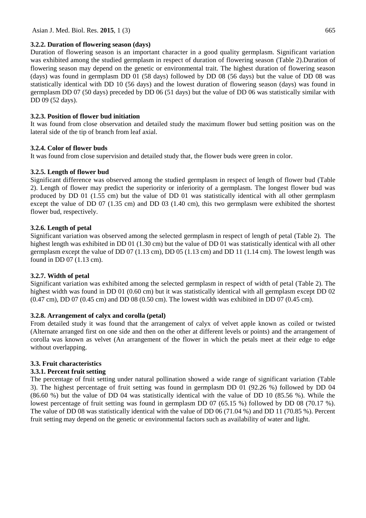# **3.2.2. Duration of flowering season (days)**

Duration of flowering season is an important character in a good quality germplasm. Significant variation was exhibited among the studied germplasm in respect of duration of flowering season (Table 2).Duration of flowering season may depend on the genetic or environmental trait. The highest duration of flowering season (days) was found in germplasm DD 01 (58 days) followed by DD 08 (56 days) but the value of DD 08 was statistically identical with DD 10 (56 days) and the lowest duration of flowering season (days) was found in germplasm DD 07 (50 days) preceded by DD 06 (51 days) but the value of DD 06 was statistically similar with DD 09 (52 days).

# **3.2.3. Position of flower bud initiation**

It was found from close observation and detailed study the maximum flower bud setting position was on the lateral side of the tip of branch from leaf axial.

# **3.2.4. Color of flower buds**

It was found from close supervision and detailed study that, the flower buds were green in color.

# **3.2.5. Length of flower bud**

Significant difference was observed among the studied germplasm in respect of length of flower bud (Table 2). Length of flower may predict the superiority or inferiority of a germplasm. The longest flower bud was produced by DD 01 (1.55 cm) but the value of DD 01 was statistically identical with all other germplasm except the value of DD 07 (1.35 cm) and DD 03 (1.40 cm), this two germplasm were exhibited the shortest flower bud, respectively.

# **3.2.6. Length of petal**

Significant variation was observed among the selected germplasm in respect of length of petal (Table 2). The highest length was exhibited in DD 01 (1.30 cm) but the value of DD 01 was statistically identical with all other germplasm except the value of DD 07 (1.13 cm), DD 05 (1.13 cm) and DD 11 (1.14 cm). The lowest length was found in DD 07 (1.13 cm).

# **3.2.7. Width of petal**

Significant variation was exhibited among the selected germplasm in respect of width of petal (Table 2). The highest width was found in DD 01 (0.60 cm) but it was statistically identical with all germplasm except DD 02 (0.47 cm), DD 07 (0.45 cm) and DD 08 (0.50 cm). The lowest width was exhibited in DD 07 (0.45 cm).

# **3.2.8. Arrangement of calyx and corolla (petal)**

From detailed study it was found that the arrangement of calyx of velvet apple known as coiled or twisted (Alternate arranged first on one side and then on the other at different levels or points) and the arrangement of corolla was known as velvet (An arrangement of the flower in which the petals meet at their edge to edge without overlapping.

# **3.3. Fruit characteristics**

# **3.3.1. Percent fruit setting**

The percentage of fruit setting under natural pollination showed a wide range of significant variation (Table 3). The highest percentage of fruit setting was found in germplasm DD 01 (92.26 %) followed by DD 04 (86.60 %) but the value of DD 04 was statistically identical with the value of DD 10 (85.56 %). While the lowest percentage of fruit setting was found in germplasm DD 07 (65.15 %) followed by DD 08 (70.17 %). The value of DD 08 was statistically identical with the value of DD 06 (71.04 %) and DD 11 (70.85 %). Percent fruit setting may depend on the genetic or environmental factors such as availability of water and light.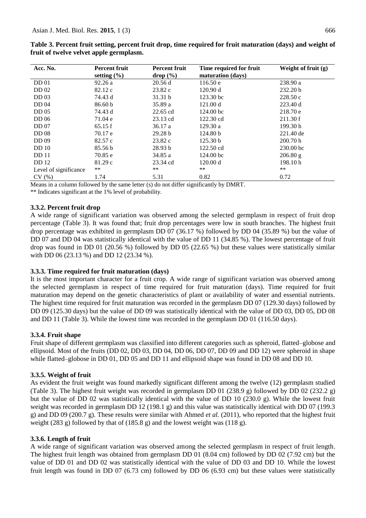| Acc. No.              | <b>Percent fruit</b> | <b>Percent fruit</b> | Time required for fruit | Weight of fruit $(g)$ |
|-----------------------|----------------------|----------------------|-------------------------|-----------------------|
|                       | setting $(\% )$      | drop (%)             | maturation (days)       |                       |
| <b>DD</b> 01          | 92.26a               | 20.56d               | 116.50 e                | 238.90 a              |
| DD 02                 | 82.12 c              | 23.82 c              | 120.90 d                | 232.20 <sub>b</sub>   |
| DD <sub>03</sub>      | 74.43 d              | 31.31 b              | 123.30 bc               | 228.50c               |
| DD 04                 | 86.60 <sub>b</sub>   | 35.89 a              | 121.00 d                | 223.40 d              |
| DD <sub>05</sub>      | 74.43 d              | 22.65 cd             | 124.00 <sub>bc</sub>    | 218.70 e              |
| DD <sub>06</sub>      | 71.04 e              | 23.13 cd             | 122.30 cd               | 211.30 f              |
| DD <sub>07</sub>      | 65.15f               | 36.17a               | 129.30a                 | 199.30h               |
| <b>DD</b> 08          | 70.17 e              | 29.28 b              | 124.80 b                | 221.40 de             |
| DD 09                 | 82.57 c              | 23.82c               | 125.30 b                | 200.70h               |
| DD <sub>10</sub>      | 85.56 b              | 28.93 b              | 122.50 cd               | 230.00 bc             |
| <b>DD</b> 11          | 70.85 e              | 34.85 a              | 124.00 bc               | 206.80 g              |
| <b>DD</b> 12          | 81.29c               | 23.34 cd             | 120.00 d                | 198.10h               |
| Level of significance | **                   | $**$                 | $***$                   | $***$                 |
| CV(%)                 | 1.74                 | 5.31                 | 0.82                    | 0.72                  |

**Table 3. Percent fruit setting, percent fruit drop, time required for fruit maturation (days) and weight of fruit of twelve velvet apple germplasm.**

Means in a column followed by the same letter (s) do not differ significantly by DMRT.

\*\* Indicates significant at the 1% level of probability.

### **3.3.2. Percent fruit drop**

A wide range of significant variation was observed among the selected germplasm in respect of fruit drop percentage (Table 3). It was found that; fruit drop percentages were low in south branches. The highest fruit drop percentage was exhibited in germplasm DD 07 (36.17 %) followed by DD 04 (35.89 %) but the value of DD 07 and DD 04 was statistically identical with the value of DD 11 (34.85 %). The lowest percentage of fruit drop was found in DD 01 (20.56 %) followed by DD 05 (22.65 %) but these values were statistically similar with DD 06 (23.13 %) and DD 12 (23.34 %).

### **3.3.3. Time required for fruit maturation (days)**

It is the most important character for a fruit crop. A wide range of significant variation was observed among the selected germplasm in respect of time required for fruit maturation (days). Time required for fruit maturation may depend on the genetic characteristics of plant or availability of water and essential nutrients. The highest time required for fruit maturation was recorded in the germplasm DD 07 (129.30 days) followed by DD 09 (125.30 days) but the value of DD 09 was statistically identical with the value of DD 03, DD 05, DD 08 and DD 11 (Table 3). While the lowest time was recorded in the germplasm DD 01 (116.50 days).

### **3.3.4. Fruit shape**

Fruit shape of different germplasm was classified into different categories such as spheroid, flatted–globose and ellipsoid. Most of the fruits (DD 02, DD 03, DD 04, DD 06, DD 07, DD 09 and DD 12) were spheroid in shape while flatted–globose in DD 01, DD 05 and DD 11 and ellipsoid shape was found in DD 08 and DD 10.

### **3.3.5. Weight of fruit**

As evident the fruit weight was found markedly significant different among the twelve (12) germplasm studied (Table 3). The highest fruit weight was recorded in germplasm DD 01 (238.9 g) followed by DD 02 (232.2 g) but the value of DD 02 was statistically identical with the value of DD 10 (230.0 g). While the lowest fruit weight was recorded in germplasm DD 12 (198.1 g) and this value was statistically identical with DD 07 (199.3 g) and DD 09 (200.7 g). These results were similar with Ahmed *et al.* (2011), who reported that the highest fruit weight (283 g) followed by that of (185.8 g) and the lowest weight was (118 g).

### **3.3.6. Length of fruit**

A wide range of significant variation was observed among the selected germplasm in respect of fruit length. The highest fruit length was obtained from germplasm DD 01 (8.04 cm) followed by DD 02 (7.92 cm) but the value of DD 01 and DD 02 was statistically identical with the value of DD 03 and DD 10. While the lowest fruit length was found in DD 07 (6.73 cm) followed by DD 06 (6.93 cm) but these values were statistically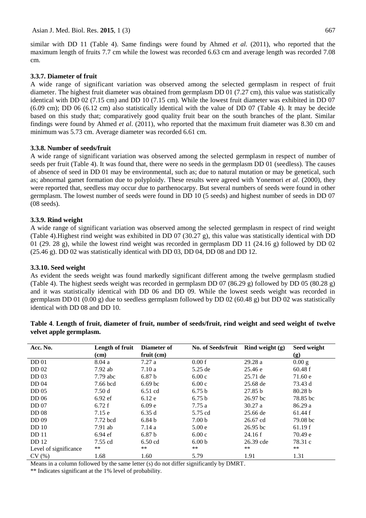similar with DD 11 (Table 4). Same findings were found by Ahmed *et al.* (2011), who reported that the maximum length of fruits 7.7 cm while the lowest was recorded 6.63 cm and average length was recorded 7.08 cm.

# **3.3.7. Diameter of fruit**

A wide range of significant variation was observed among the selected germplasm in respect of fruit diameter. The highest fruit diameter was obtained from germplasm DD 01 (7.27 cm), this value was statistically identical with DD 02 (7.15 cm) and DD 10 (7.15 cm). While the lowest fruit diameter was exhibited in DD 07 (6.09 cm); DD 06 (6.12 cm) also statistically identical with the value of DD 07 (Table 4). It may be decide based on this study that; comparatively good quality fruit bear on the south branches of the plant. Similar findings were found by Ahmed *et al*. (2011), who reported that the maximum fruit diameter was 8.30 cm and minimum was 5.73 cm. Average diameter was recorded 6.61 cm.

# **3.3.8. Number of seeds/fruit**

A wide range of significant variation was observed among the selected germplasm in respect of number of seeds per fruit (Table 4). It was found that, there were no seeds in the germplasm DD 01 (seedless). The causes of absence of seed in DD 01 may be environmental, such as; due to natural mutation or may be genetical, such as; abnormal gamet formation due to polyploidy. These results were agreed with Yonemori *et al.* (2000), they were reported that, seedless may occur due to parthenocarpy. But several numbers of seeds were found in other germplasm. The lowest number of seeds were found in DD 10 (5 seeds) and highest number of seeds in DD 07 (08 seeds).

# **3.3.9. Rind weight**

A wide range of significant variation was observed among the selected germplasm in respect of rind weight (Table 4).Highest rind weight was exhibited in DD 07 (30.27 g), this value was statistically identical with DD 01 (29. 28 g), while the lowest rind weight was recorded in germplasm DD 11 (24.16 g) followed by DD 02 (25.46 g). DD 02 was statistically identical with DD 03, DD 04, DD 08 and DD 12.

### **3.3.10. Seed weight**

As evident the seeds weight was found markedly significant different among the twelve germplasm studied (Table 4). The highest seeds weight was recorded in germplasm DD 07 (86.29 g) followed by DD 05 (80.28 g) and it was statistically identical with DD 06 and DD 09. While the lowest seeds weight was recorded in germplasm DD 01 (0.00 g) due to seedless germplasm followed by DD 02 (60.48 g) but DD 02 was statistically identical with DD 08 and DD 10.

| Acc. No.              | Length of fruit | Diameter of        | No. of Seeds/fruit | Rind weight $(g)$  | Seed weight |
|-----------------------|-----------------|--------------------|--------------------|--------------------|-------------|
|                       | $cm$ )          | $fruit$ (cm)       |                    |                    | (g)         |
| <b>DD</b> 01          | 8.04a           | 7.27a              | 0.00 f             | 29.28a             | 0.00 g      |
| <b>DD</b> 02          | $7.92$ ab       | 7.10a              | 5.25 de            | 25.46 e            | 60.48 f     |
| DD <sub>03</sub>      | $7.79$ abc      | 6.87 <sub>b</sub>  | 6.00c              | 25.71 de           | 71.60 e     |
| DD 04                 | 7.66 bcd        | 6.69 <sub>bc</sub> | 6.00c              | 25.68 de           | 73.43 d     |
| DD <sub>05</sub>      | 7.50d           | $6.51$ cd          | 6.75 <sub>b</sub>  | 27.85 <sub>b</sub> | 80.28 b     |
| DD <sub>06</sub>      | $6.92$ ef       | 6.12e              | 6.75 <sub>b</sub>  | 26.97 bc           | 78.85 bc    |
| DD <sub>07</sub>      | 6.72f           | 6.09 <sub>e</sub>  | 7.75a              | 30.27 a            | 86.29a      |
| <b>DD</b> 08          | 7.15e           | 6.35d              | 5.75 cd            | 25.66 de           | 61.44 f     |
| DD 09                 | 7.72 bcd        | 6.84 <sub>b</sub>  | 7.00 <sub>b</sub>  | 26.67 cd           | 79.08 bc    |
| DD <sub>10</sub>      | $7.91$ ab       | 7.14a              | 5.00e              | $26.95$ bc         | 61.19f      |
| <b>DD</b> 11          | $6.94$ ef       | 6.87 <sub>b</sub>  | 6.00c              | 24.16f             | 70.49 e     |
| <b>DD</b> 12          | 7.55 cd         | $6.50$ cd          | 6.00 <sub>b</sub>  | 26.39 cde          | 78.31 c     |
| Level of significance | $***$           | **                 | $***$              | **                 | $***$       |
| CV(%)                 | 1.68            | 1.60               | 5.79               | 1.91               | 1.31        |

**Table 4**. **Length of fruit, diameter of fruit, number of seeds/fruit, rind weight and seed weight of twelve velvet apple germplasm.**

Means in a column followed by the same letter (s) do not differ significantly by DMRT.

\*\* Indicates significant at the 1% level of probability.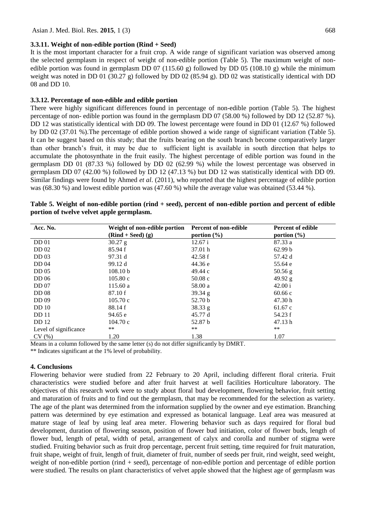#### **3.3.11. Weight of non-edible portion (Rind + Seed)**

It is the most important character for a fruit crop. A wide range of significant variation was observed among the selected germplasm in respect of weight of non-edible portion (Table 5). The maximum weight of nonedible portion was found in germplasm DD 07 (115.60 g) followed by DD 05 (108.10 g) while the minimum weight was noted in DD 01 (30.27 g) followed by DD 02 (85.94 g). DD 02 was statistically identical with DD 08 and DD 10.

#### **3.3.12. Percentage of non-edible and edible portion**

There were highly significant differences found in percentage of non-edible portion (Table 5). The highest percentage of non- edible portion was found in the germplasm DD 07 (58.00 %) followed by DD 12 (52.87 %). DD 12 was statistically identical with DD 09. The lowest percentage were found in DD 01 (12.67 %) followed by DD 02 (37.01 %).The percentage of edible portion showed a wide range of significant variation (Table 5). It can be suggest based on this study; that the fruits bearing on the south branch become comparatively larger than other branch's fruit, it may be due to sufficient light is available in south direction that helps to accumulate the photosynthate in the fruit easily. The highest percentage of edible portion was found in the germplasm DD 01 (87.33 %) followed by DD 02 (62.99 %) while the lowest percentage was observed in germplasm DD 07 (42.00 %) followed by DD 12 (47.13 %) but DD 12 was statistically identical with DD 09. Similar findings were found by Ahmed *et al*. (2011), who reported that the highest percentage of edible portion was (68.30 %) and lowest edible portion was (47.60 %) while the average value was obtained (53.44 %).

| Acc. No.              | Weight of non-edible portion<br>$(Rind + Seed)$ (g) | Percent of non-edible<br>portion $(\% )$ | <b>Percent of edible</b><br>portion $(\% )$ |
|-----------------------|-----------------------------------------------------|------------------------------------------|---------------------------------------------|
| DD <sub>01</sub>      | $30.27$ g                                           | 12.67 i                                  | 87.33 a                                     |
| <b>DD</b> 02          | 85.94 f                                             | 37.01 h                                  | 62.99 b                                     |
| DD <sub>03</sub>      | 97.31 d                                             | 42.58 f                                  | 57.42 d                                     |
| DD 04                 | 99.12 d                                             | 44.36 e                                  | 55.64 e                                     |
| DD <sub>05</sub>      | 108.10 <sub>b</sub>                                 | 49.44 c                                  | $50.56$ g                                   |
| DD <sub>06</sub>      | 105.80c                                             | 50.08c                                   | 49.92 $g$                                   |
| DD <sub>07</sub>      | 115.60a                                             | 58.00 a                                  | 42.00 i                                     |
| <b>DD</b> 08          | 87.10 f                                             | $39.34\text{ g}$                         | 60.66c                                      |
| DD 09                 | 105.70c                                             | 52.70 b                                  | 47.30 h                                     |
| DD <sub>10</sub>      | 88.14 f                                             | 38.33 g                                  | 61.67c                                      |
| <b>DD</b> 11          | 94.65 e                                             | 45.77 d                                  | 54.23 f                                     |
| <b>DD</b> 12          | 104.70c                                             | 52.87 b                                  | 47.13 h                                     |
| Level of significance | **                                                  | $***$                                    | $***$                                       |
| CV(%)                 | 1.20                                                | 1.38                                     | 1.07                                        |

| Table 5. Weight of non-edible portion (rind + seed), percent of non-edible portion and percent of edible |  |
|----------------------------------------------------------------------------------------------------------|--|
| portion of twelve velvet apple germplasm.                                                                |  |

Means in a column followed by the same letter (s) do not differ significantly by DMRT.

\*\* Indicates significant at the 1% level of probability.

### **4. Conclusions**

Flowering behavior were studied from 22 February to 20 April, including different floral criteria. Fruit characteristics were studied before and after fruit harvest at well facilities Horticulture laboratory. The objectives of this research work were to study about floral bud development, flowering behavior, fruit setting and maturation of fruits and to find out the germplasm, that may be recommended for the selection as variety. The age of the plant was determined from the information supplied by the owner and eye estimation. Branching pattern was determined by eye estimation and expressed as botanical language. Leaf area was measured at mature stage of leaf by using leaf area meter. Flowering behavior such as days required for floral bud development, duration of flowering season, position of flower bud initiation, color of flower buds, length of flower bud, length of petal, width of petal, arrangement of calyx and corolla and number of stigma were studied. Fruiting behavior such as fruit drop percentage, percent fruit setting, time required for fruit maturation, fruit shape, weight of fruit, length of fruit, diameter of fruit, number of seeds per fruit, rind weight, seed weight, weight of non-edible portion (rind + seed), percentage of non-edible portion and percentage of edible portion were studied. The results on plant characteristics of velvet apple showed that the highest age of germplasm was